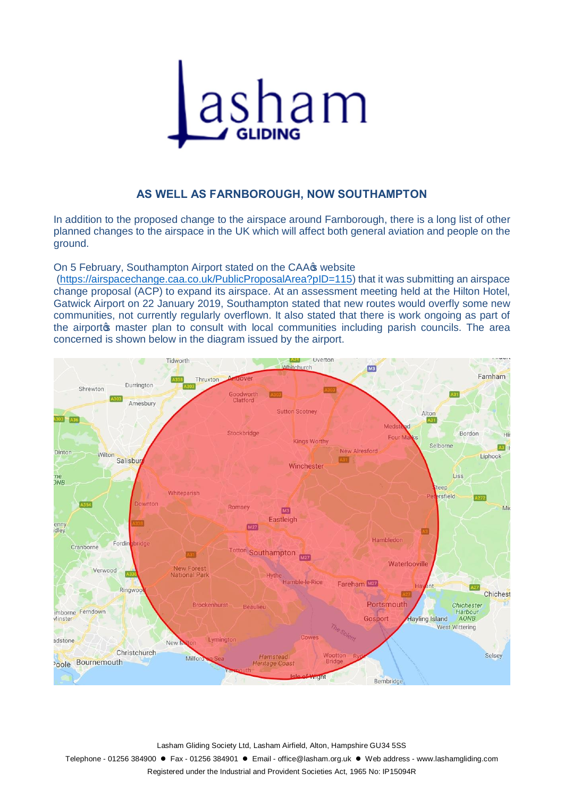

## **AS WELL AS FARNBOROUGH, NOW SOUTHAMPTON**

In addition to the proposed change to the airspace around Farnborough, there is a long list of other planned changes to the airspace in the UK which will affect both general aviation and people on the ground.

On 5 February, Southampton Airport stated on the CAA $\sigma$  website

(https://airspacechange.caa.co.uk/PublicProposalArea?pID=115) that it was submitting an airspace change proposal (ACP) to expand its airspace. At an assessment meeting held at the Hilton Hotel, Gatwick Airport on 22 January 2019, Southampton stated that new routes would overfly some new communities, not currently regularly overflown. It also stated that there is work ongoing as part of the airport the area than to consult with local communities including parish councils. The area concerned is shown below in the diagram issued by the airport.



Lasham Gliding Society Ltd, Lasham Airfield, Alton, Hampshire GU34 5SS

Telephone - 01256 384900 · Fax - 01256 384901 · Email - office@lasham.org.uk · Web address - www.lashamgliding.com

Registered under the Industrial and Provident Societies Act, 1965 No: IP15094R